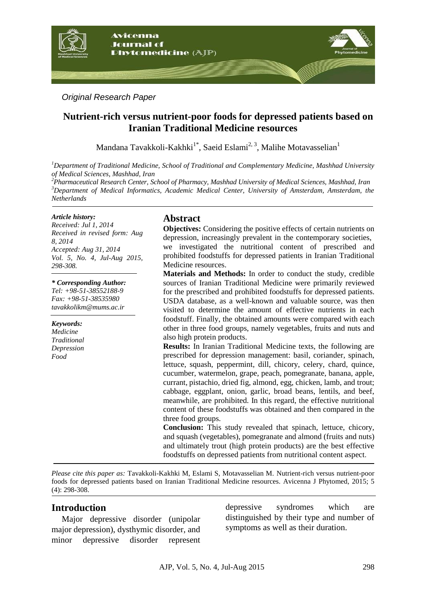

*Original Research Paper*

# **Nutrient-rich versus nutrient-poor foods for depressed patients based on Iranian Traditional Medicine resources**

Mandana Tavakkoli-Kakhki $^{1^*}$ , Saeid Eslami $^{2,3}$ , Malihe Motavasselian $^1$ 

*<sup>1</sup>Department of Traditional Medicine, School of Traditional and Complementary Medicine, Mashhad University of Medical Sciences, Mashhad, Iran*

*<sup>2</sup>Pharmaceutical Research Center, School of Pharmacy, Mashhad University of Medical Sciences, Mashhad, Iran <sup>3</sup>Department of Medical Informatics, Academic Medical Center, University of Amsterdam, Amsterdam, the Netherlands*

#### *Article history:*

*Received: Jul 1, 2014 Received in revised form: Aug 8, 2014 Accepted: Aug 31, 2014 Vol. 5, No. 4, Jul-Aug 2015, 298-308.*

*\* Corresponding Author: Tel: +98-51-38552188-9 Fax: +98-51-38535980 tavakkolikm@mums.ac.ir*

*Keywords: Medicine Traditional Depression Food*

### **Abstract**

**Objectives:** Considering the positive effects of certain nutrients on depression, increasingly prevalent in the contemporary societies, we investigated the nutritional content of prescribed and prohibited foodstuffs for depressed patients in Iranian Traditional Medicine resources.

**Materials and Methods:** In order to conduct the study, credible sources of Iranian Traditional Medicine were primarily reviewed for the prescribed and prohibited foodstuffs for depressed patients. USDA database, as a well-known and valuable source, was then visited to determine the amount of effective nutrients in each foodstuff. Finally, the obtained amounts were compared with each other in three food groups, namely vegetables, fruits and nuts and also high protein products.

**Results:** In Iranian Traditional Medicine texts, the following are prescribed for depression management: basil, coriander, spinach, lettuce, squash, peppermint, dill, chicory, celery, chard, quince, cucumber, watermelon, grape, peach, pomegranate, banana, apple, currant, pistachio, dried fig, almond, egg, chicken, lamb, and trout; cabbage, eggplant, onion, garlic, broad beans, lentils, and beef, meanwhile, are prohibited. In this regard, the effective nutritional content of these foodstuffs was obtained and then compared in the three food groups.

**Conclusion:** This study revealed that spinach, lettuce, chicory, and squash (vegetables), pomegranate and almond (fruits and nuts) and ultimately trout (high protein products) are the best effective foodstuffs on depressed patients from nutritional content aspect.

*Please cite this paper as:* Tavakkoli-Kakhki M, Eslami S, Motavasselian M. Nutrient-rich versus nutrient-poor foods for depressed patients based on Iranian Traditional Medicine resources. Avicenna J Phytomed, 2015; 5 (4): 298-308.

## **Introduction**

Major depressive disorder (unipolar major depression), dysthymic disorder, and minor depressive disorder represent

depressive syndromes which are distinguished by their type and number of symptoms as well as their duration.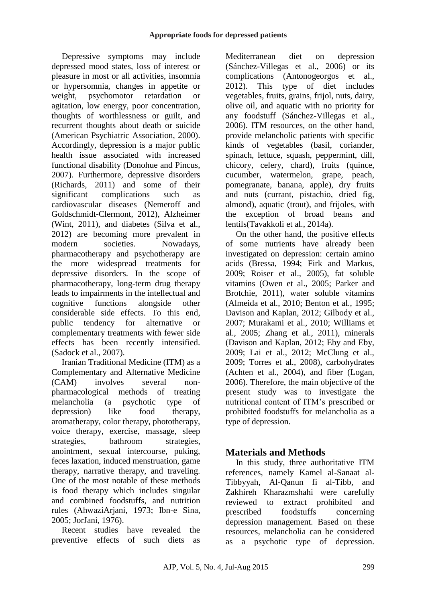Depressive symptoms may include depressed mood states, loss of interest or pleasure in most or all activities, insomnia or hypersomnia, changes in appetite or weight, psychomotor retardation or agitation, low energy, poor concentration, thoughts of worthlessness or guilt, and recurrent thoughts about death or suicide (American Psychiatric Association, 2000). Accordingly, depression is a major public health issue associated with increased functional disability (Donohue and Pincus, 2007). Furthermore, depressive disorders (Richards, 2011) and some of their significant complications such as cardiovascular diseases (Nemeroff and Goldschmidt-Clermont, 2012), Alzheimer (Wint, 2011), and diabetes (Silva et al., 2012) are becoming more prevalent in modern societies. Nowadays, pharmacotherapy and psychotherapy are the more widespread treatments for depressive disorders. In the scope of pharmacotherapy, long-term drug therapy leads to impairments in the intellectual and cognitive functions alongside other considerable side effects. To this end, public tendency for alternative or complementary treatments with fewer side effects has been recently intensified. (Sadock et al., 2007).

Iranian Traditional Medicine (ITM) as a Complementary and Alternative Medicine (CAM) involves several nonpharmacological methods of treating melancholia (a psychotic type of depression) like food therapy, aromatherapy, color therapy, phototherapy, voice therapy, exercise, massage, sleep strategies, bathroom strategies, anointment, sexual intercourse, puking, feces laxation, induced menstruation, game therapy, narrative therapy, and traveling. One of the most notable of these methods is food therapy which includes singular and combined foodstuffs, and nutrition rules (AhwaziArjani, 1973; Ibn-e Sina, 2005; JorJani, 1976).

Recent studies have revealed the preventive effects of such diets as

Mediterranean diet on depression (Sánchez-Villegas et al., 2006) or its complications (Antonogeorgos et al., 2012). This type of diet includes vegetables, fruits, grains, frijol, nuts, dairy, olive oil, and aquatic with no priority for any foodstuff (Sánchez-Villegas et al., 2006). ITM resources, on the other hand, provide melancholic patients with specific kinds of vegetables (basil, coriander, spinach, lettuce, squash, peppermint, dill, chicory, celery, chard), fruits (quince, cucumber, watermelon, grape, peach, pomegranate, banana, apple), dry fruits and nuts (currant, pistachio, dried fig, almond), aquatic (trout), and frijoles, with the exception of broad beans and lentils(Tavakkoli et al., 2014a).

On the other hand, the positive effects of some nutrients have already been investigated on depression: certain amino acids (Bressa, 1994; Firk and Markus, 2009; Roiser et al., 2005), fat soluble vitamins (Owen et al., 2005; Parker and Brotchie, 2011), water soluble vitamins (Almeida et al., 2010; Benton et al., 1995; Davison and Kaplan, 2012; Gilbody et al., 2007; Murakami et al., 2010; Williams et al., 2005; Zhang et al., 2011), minerals (Davison and Kaplan, 2012; Eby and Eby, 2009; Lai et al., 2012; McClung et al., 2009; Torres et al., 2008), carbohydrates (Achten et al., 2004), and fiber (Logan, 2006). Therefore, the main objective of the present study was to investigate the nutritional content of ITM's prescribed or prohibited foodstuffs for melancholia as a type of depression.

# **Materials and Methods**

In this study, three authoritative ITM references, namely Kamel al-Sanaat al-Tibbyyah, Al-Qanun fi al-Tibb, and Zakhireh Kharazmshahi were carefully reviewed to extract prohibited and prescribed foodstuffs concerning depression management. Based on these resources, melancholia can be considered as a psychotic type of depression.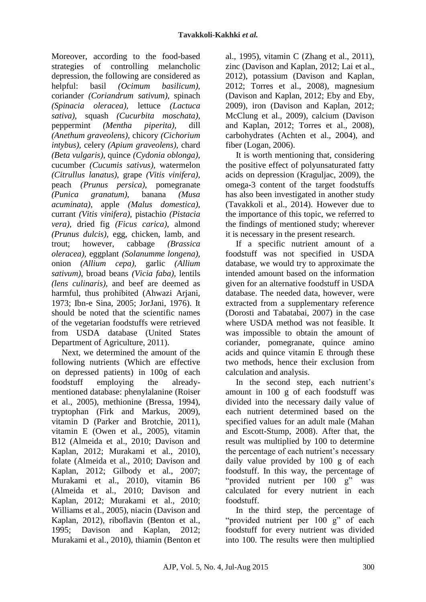Moreover, according to the food-based strategies of controlling melancholic depression, the following are considered as helpful: basil *(Ocimum basilicum),* coriander *(Coriandrum sativum),* spinach *(Spinacia oleracea),* lettuce *(Lactuca sativa),* squash *(Cucurbita moschata),* peppermint *(Mentha piperita),* dill *(Anethum graveolens),* chicory *(Cichorium intybus),* celery *(Apium graveolens),* chard *(Beta vulgaris),* quince *(Cydonia oblonga),* cucumber *(Cucumis sativus),* watermelon *(Citrullus lanatus),* grape *(Vitis vinifera),* peach *(Prunus persica),* pomegranate *(Punica granatum),* banana *(Musa acuminata),* apple *(Malus domestica),* currant *(Vitis vinifera),* pistachio *(Pistacia vera),* dried fig *(Ficus carica),* almond *(Prunus dulcis),* egg, chicken, lamb, and trout; however, cabbage *(Brassica oleracea),* eggplant *(Solanumme longena),* onion *(Allium cepa),* garlic *(Allium sativum),* broad beans *(Vicia faba),* lentils *(lens culinaris),* and beef are deemed as harmful, thus prohibited (Ahwazi Arjani, 1973; Ibn-e Sina, 2005; JorJani, 1976). It should be noted that the scientific names of the vegetarian foodstuffs were retrieved from USDA database (United States Department of Agriculture, 2011).

Next, we determined the amount of the following nutrients (Which are effective on depressed patients) in 100g of each foodstuff employing the alreadymentioned database: phenylalanine (Roiser et al., 2005), methionine (Bressa, 1994), tryptophan (Firk and Markus, 2009), vitamin D (Parker and Brotchie, 2011), vitamin E (Owen et al., 2005), vitamin B12 (Almeida et al., 2010; Davison and Kaplan, 2012; Murakami et al., 2010), folate (Almeida et al., 2010; Davison and Kaplan, 2012; Gilbody et al., 2007; Murakami et al., 2010), vitamin B6 (Almeida et al., 2010; Davison and Kaplan, 2012; Murakami et al., 2010; Williams et al., 2005), niacin (Davison and Kaplan, 2012), riboflavin (Benton et al., 1995; Davison and Kaplan, 2012; Murakami et al., 2010), thiamin (Benton et al., 1995), vitamin C (Zhang et al., 2011), zinc (Davison and Kaplan, 2012; Lai et al., 2012), potassium (Davison and Kaplan, 2012; Torres et al., 2008), magnesium (Davison and Kaplan, 2012; Eby and Eby, 2009), iron (Davison and Kaplan, 2012; McClung et al., 2009), calcium (Davison and Kaplan, 2012; Torres et al., 2008), carbohydrates (Achten et al., 2004), and fiber (Logan, 2006).

It is worth mentioning that, considering the positive effect of polyunsaturated fatty acids on depression (Kraguljac, 2009), the omega-3 content of the target foodstuffs has also been investigated in another study (Tavakkoli et al., 2014). However due to the importance of this topic, we referred to the findings of mentioned study; wherever it is necessary in the present research.

If a specific nutrient amount of a foodstuff was not specified in USDA database, we would try to approximate the intended amount based on the information given for an alternative foodstuff in USDA database. The needed data, however, were extracted from a supplementary reference (Dorosti and Tabatabai, 2007) in the case where USDA method was not feasible. It was impossible to obtain the amount of coriander, pomegranate, quince amino acids and quince vitamin E through these two methods, hence their exclusion from calculation and analysis.

In the second step, each nutrient's amount in 100 g of each foodstuff was divided into the necessary daily value of each nutrient determined based on the specified values for an adult male (Mahan and Escott-Stump, 2008). After that, the result was multiplied by 100 to determine the percentage of each nutrient's necessary daily value provided by 100 g of each foodstuff. In this way, the percentage of "provided nutrient per 100 g" was calculated for every nutrient in each foodstuff.

In the third step, the percentage of "provided nutrient per 100 g" of each foodstuff for every nutrient was divided into 100. The results were then multiplied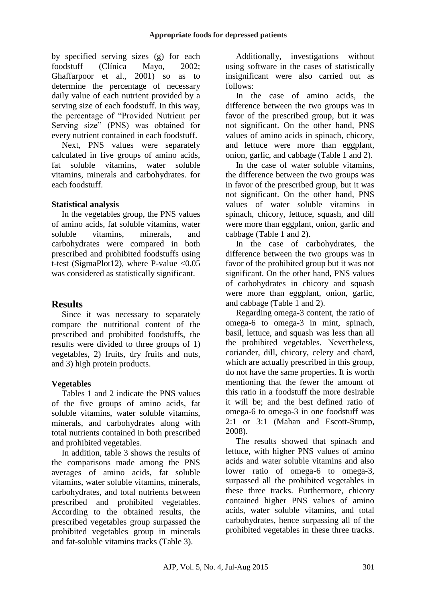by specified serving sizes (g) for each foodstuff (Clínica Mayo, 2002; Ghaffarpoor et al., 2001) so as to determine the percentage of necessary daily value of each nutrient provided by a serving size of each foodstuff. In this way, the percentage of "Provided Nutrient per Serving size" (PNS) was obtained for every nutrient contained in each foodstuff.

Next, PNS values were separately calculated in five groups of amino acids, fat soluble vitamins, water soluble vitamins, minerals and carbohydrates. for each foodstuff.

### **Statistical analysis**

In the vegetables group, the PNS values of amino acids, fat soluble vitamins, water soluble vitamins, minerals, and carbohydrates were compared in both prescribed and prohibited foodstuffs using t-test (SigmaPlot12), where P-value  $\langle 0.05$ was considered as statistically significant.

# **Results**

Since it was necessary to separately compare the nutritional content of the prescribed and prohibited foodstuffs, the results were divided to three groups of 1) vegetables, 2) fruits, dry fruits and nuts, and 3) high protein products.

## **Vegetables**

Tables 1 and 2 indicate the PNS values of the five groups of amino acids, fat soluble vitamins, water soluble vitamins, minerals, and carbohydrates along with total nutrients contained in both prescribed and prohibited vegetables.

In addition, table 3 shows the results of the comparisons made among the PNS averages of amino acids, fat soluble vitamins, water soluble vitamins, minerals, carbohydrates, and total nutrients between prescribed and prohibited vegetables. According to the obtained results, the prescribed vegetables group surpassed the prohibited vegetables group in minerals and fat-soluble vitamins tracks (Table 3).

Additionally, investigations without using software in the cases of statistically insignificant were also carried out as follows:

In the case of amino acids, the difference between the two groups was in favor of the prescribed group, but it was not significant. On the other hand, PNS values of amino acids in spinach, chicory, and lettuce were more than eggplant, onion, garlic, and cabbage (Table 1 and 2).

In the case of water soluble vitamins, the difference between the two groups was in favor of the prescribed group, but it was not significant. On the other hand, PNS values of water soluble vitamins in spinach, chicory, lettuce, squash, and dill were more than eggplant, onion, garlic and cabbage (Table 1 and 2).

In the case of carbohydrates, the difference between the two groups was in favor of the prohibited group but it was not significant. On the other hand, PNS values of carbohydrates in chicory and squash were more than eggplant, onion, garlic, and cabbage (Table 1 and 2).

Regarding omega-3 content, the ratio of omega-6 to omega-3 in mint, spinach, basil, lettuce, and squash was less than all the prohibited vegetables. Nevertheless, coriander, dill, chicory, celery and chard, which are actually prescribed in this group, do not have the same properties. It is worth mentioning that the fewer the amount of this ratio in a foodstuff the more desirable it will be; and the best defined ratio of omega-6 to omega-3 in one foodstuff was 2:1 or 3:1 (Mahan and Escott-Stump, 2008).

The results showed that spinach and lettuce, with higher PNS values of amino acids and water soluble vitamins and also lower ratio of omega-6 to omega-3, surpassed all the prohibited vegetables in these three tracks. Furthermore, chicory contained higher PNS values of amino acids, water soluble vitamins, and total carbohydrates, hence surpassing all of the prohibited vegetables in these three tracks.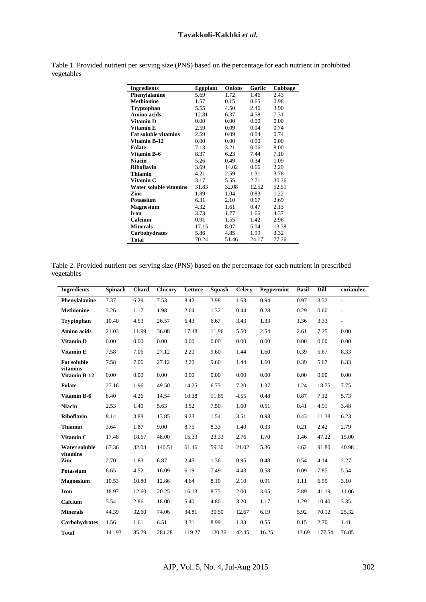| <b>Ingredients</b>          | Eggplant | <b>Onions</b> | Garlic | Cabbage |
|-----------------------------|----------|---------------|--------|---------|
| Phenylalanine               | 5.69     | 1.72          | 1.46   | 2.43    |
| <b>Methionine</b>           | 1.57     | 0.15          | 0.65   | 0.98    |
| Tryptophan                  | 5.55     | 4.50          | 2.46   | 3.90    |
| Amino acids                 | 12.81    | 6.37          | 4.58   | 7.31    |
| Vitamin D                   | 0.00     | 0.00          | 0.00   | 0.00    |
| Vitamin E                   | 2.59     | 0.09          | 0.04   | 0.74    |
| <b>Fat soluble vitamins</b> | 2.59     | 0.09          | 0.04   | 0.74    |
| Vitamin B-12                | 0.00     | 0.00          | 0.00   | 0.00    |
| <b>Folate</b>               | 7.13     | 3.21          | 0.06   | 8.00    |
| Vitamin B-6                 | 8.37     | 6.23          | 7.44   | 7.10    |
| <b>Niacin</b>               | 5.26     | 0.49          | 0.34   | 1.09    |
| <b>Riboflavin</b>           | 3.69     | 14.02         | 0.66   | 2.29    |
| Thiamin                     | 4.21     | 2.59          | 1.31   | 3.78    |
| Vitamin C                   | 3.17     | 5.55          | 2.71   | 30.26   |
| Water soluble vitamins      | 31.83    | 32.08         | 12.52  | 52.51   |
| Zinc                        | 1.89     | 1.04          | 0.83   | 1.22    |
| Potassium                   | 6.31     | 2.10          | 0.67   | 2.69    |
| <b>Magnesium</b>            | 4.32     | 1.61          | 0.47   | 2.13    |
| Iron                        | 3.73     | 1.77          | 1.66   | 4.37    |
| Calcium                     | 0.91     | 1.55          | 1.42   | 2.98    |
| <b>Minerals</b>             | 17.15    | 8.07          | 5.04   | 13.38   |
| Carbohydrates               | 5.86     | 4.85          | 1.99   | 3.32    |
| Total                       | 70.24    | 51.46         | 24.17  | 77.26   |

Table 1. Provided nutrient per serving size (PNS) based on the percentage for each nutrient in prohibited vegetables

Table 2. Provided nutrient per serving size (PNS) based on the percentage for each nutrient in prescribed vegetables

| <b>Ingredients</b>       | Spinach | <b>Chard</b> | <b>Chicory</b> | Lettuce | Squash | <b>Celery</b> | Peppermint | <b>Basil</b> | Dill   | coriander                |
|--------------------------|---------|--------------|----------------|---------|--------|---------------|------------|--------------|--------|--------------------------|
| Phenylalanine            | 7.37    | 6.29         | 7.53           | 8.42    | 3.98   | 1.63          | 0.94       | 0.97         | 3.32   | $\blacksquare$           |
| <b>Methionine</b>        | 3.26    | 1.17         | 1.98           | 2.64    | 1.32   | 0.44          | 0.28       | 0.29         | 0.60   | $\overline{\phantom{a}}$ |
| Tryptophan               | 10.40   | 4.53         | 26.57          | 6.43    | 6.67   | 3.43          | 1.33       | 1.36         | 3.33   | $\blacksquare$           |
| Amino acids              | 21.03   | 11.99        | 36.08          | 17.48   | 11.96  | 5.50          | 2.54       | 2.61         | 7.25   | 0.00                     |
| Vitamin D                | 0.00    | 0.00         | 0.00           | 0.00    | 0.00   | 0.00          | 0.00       | 0.00         | 0.00   | 0.00                     |
| Vitamin E                | 7.58    | 7.06         | 27.12          | 2.20    | 9.60   | 1.44          | 1.60       | 0.39         | 5.67   | 8.33                     |
| <b>Fat soluble</b>       | 7.58    | 7.06         | 27.12          | 2.20    | 9.60   | 1.44          | 1.60       | 0.39         | 5.67   | 8.33                     |
| vitamins<br>Vitamin B-12 | 0.00    | 0.00         | 0.00           | 0.00    | 0.00   | 0.00          | 0.00       | 0.00         | 0.00   | 0.00                     |
| <b>Folate</b>            | 27.16   | 1.96         | 49.50          | 14.25   | 6.75   | 7.20          | 1.37       | 1.24         | 18.75  | 7.75                     |
| <b>Vitamin B-6</b>       | 8.40    | 4.26         | 14.54          | 10.38   | 11.85  | 4.55          | 0.48       | 0.87         | 7.12   | 5.73                     |
| <b>Niacin</b>            | 2.53    | 1.40         | 5.63           | 3.52    | 7.50   | 1.60          | 0.51       | 0.41         | 4.91   | 3.48                     |
| <b>Riboflavin</b>        | 8.14    | 3.88         | 13.85          | 9.23    | 1.54   | 3.51          | 0.98       | 0.43         | 11.38  | 6.23                     |
| <b>Thiamin</b>           | 3.64    | 1.87         | 9.00           | 8.75    | 8.33   | 1.40          | 0.33       | 0.21         | 2.42   | 2.79                     |
| Vitamin C                | 17.48   | 18.67        | 48.00          | 15.33   | 23.33  | 2.76          | 1.70       | 1.46         | 47.22  | 15.00                    |
| <b>Water soluble</b>     | 67.36   | 32.03        | 140.51         | 61.46   | 59.30  | 21.02         | 5.36       | 4.62         | 91.80  | 40.98                    |
| vitamins<br>Zinc         | 2.70    | 1.83         | 6.87           | 2.45    | 1.36   | 0.95          | 0.48       | 0.54         | 4.14   | 2.27                     |
| Potassium                | 6.65    | 4.52         | 16.09          | 6.19    | 7.49   | 4.43          | 0.58       | 0.09         | 7.85   | 5.54                     |
| <b>Magnesium</b>         | 10.53   | 10.80        | 12.86          | 4.64    | 8.10   | 2.10          | 0.91       | 1.11         | 6.55   | 3.10                     |
| <b>Iron</b>              | 18.97   | 12.60        | 20.25          | 16.13   | 8.75   | 2.00          | 3.05       | 2.89         | 41.19  | 11.06                    |
| Calcium                  | 5.54    | 2.86         | 18.00          | 5.40    | 4.80   | 3.20          | 1.17       | 1.29         | 10.40  | 3.35                     |
| <b>Minerals</b>          | 44.39   | 32.60        | 74.06          | 34.81   | 30.50  | 12.67         | 6.19       | 5.92         | 70.12  | 25.32                    |
| <b>Carbohydrates</b>     | 1.56    | 1.61         | 6.51           | 3.31    | 8.99   | 1.83          | 0.55       | 0.15         | 2.70   | 1.41                     |
| <b>Total</b>             | 141.93  | 85.29        | 284.28         | 119.27  | 120.36 | 42.45         | 16.25      | 13.69        | 177.54 | 76.05                    |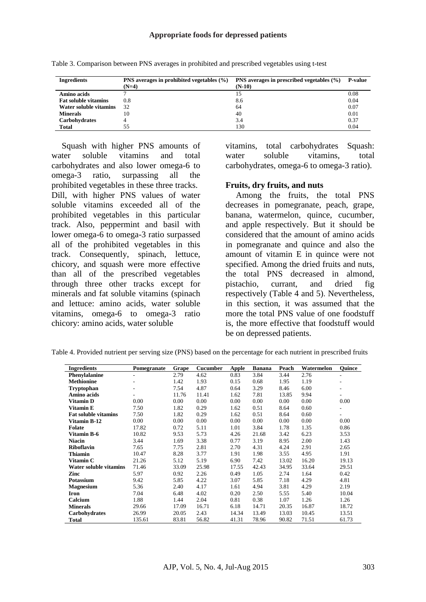| <b>Ingredients</b>          | PNS averages in prohibited vegetables $(\% )$ | PNS averages in prescribed vegetables $(\% )$ | <b>P-value</b> |
|-----------------------------|-----------------------------------------------|-----------------------------------------------|----------------|
|                             | $(N=4)$                                       | $(N-10)$                                      |                |
| Amino acids                 |                                               | 15                                            | 0.08           |
| <b>Fat soluble vitamins</b> | 0.8                                           | 8.6                                           | 0.04           |
| Water soluble vitamins      | 32                                            | 64                                            | 0.07           |
| <b>Minerals</b>             | 10                                            | 40                                            | 0.01           |
| <b>Carbohydrates</b>        |                                               | 3.4                                           | 0.37           |
| <b>Total</b>                | 55                                            | 130                                           | 0.04           |

Table 3. Comparison between PNS averages in prohibited and prescribed vegetables using t-test

Squash with higher PNS amounts of water soluble vitamins and total carbohydrates and also lower omega-6 to omega-3 ratio, surpassing all the prohibited vegetables in these three tracks. Dill, with higher PNS values of water soluble vitamins exceeded all of the prohibited vegetables in this particular track. Also, peppermint and basil with lower omega-6 to omega-3 ratio surpassed all of the prohibited vegetables in this track. Consequently, spinach, lettuce, chicory, and squash were more effective than all of the prescribed vegetables through three other tracks except for minerals and fat soluble vitamins (spinach and lettuce: amino acids, water soluble vitamins, omega-6 to omega-3 ratio chicory: amino acids, water soluble

vitamins, total carbohydrates Squash: water soluble vitamins, total carbohydrates, omega-6 to omega-3 ratio).

#### **Fruits, dry fruits, and nuts**

Among the fruits, the total PNS decreases in pomegranate, peach, grape, banana, watermelon, quince, cucumber, and apple respectively. But it should be considered that the amount of amino acids in pomegranate and quince and also the amount of vitamin E in quince were not specified. Among the dried fruits and nuts, the total PNS decreased in almond, pistachio, currant, and dried fig respectively (Table 4 and 5). Nevertheless, in this section, it was assumed that the more the total PNS value of one foodstuff is, the more effective that foodstuff would be on depressed patients.

| <b>Ingredients</b>          | Pomegranate | Grape | <b>Cucumber</b> | Apple | <b>Banana</b> | Peach | Watermelon | <b>Ouince</b> |
|-----------------------------|-------------|-------|-----------------|-------|---------------|-------|------------|---------------|
| Phenylalanine               | ÷           | 2.79  | 4.62            | 0.83  | 3.84          | 3.44  | 2.76       | ۰             |
| <b>Methionine</b>           |             | 1.42  | 1.93            | 0.15  | 0.68          | 1.95  | 1.19       |               |
| <b>Tryptophan</b>           |             | 7.54  | 4.87            | 0.64  | 3.29          | 8.46  | 6.00       |               |
| Amino acids                 |             | 11.76 | 11.41           | 1.62  | 7.81          | 13.85 | 9.94       |               |
| Vitamin D                   | 0.00        | 0.00  | 0.00            | 0.00  | 0.00          | 0.00  | 0.00       | 0.00          |
| Vitamin E                   | 7.50        | 1.82  | 0.29            | 1.62  | 0.51          | 8.64  | 0.60       | ۰             |
| <b>Fat soluble vitamins</b> | 7.50        | 1.82  | 0.29            | 1.62  | 0.51          | 8.64  | 0.60       | ۰             |
| Vitamin B-12                | 0.00        | 0.00  | 0.00            | 0.00  | 0.00          | 0.00  | 0.00       | 0.00          |
| Folate                      | 17.82       | 0.72  | 5.11            | 1.01  | 3.84          | 1.78  | 1.35       | 0.86          |
| Vitamin B-6                 | 10.82       | 9.53  | 5.73            | 4.26  | 21.68         | 3.42  | 6.23       | 3.53          |
| <b>Niacin</b>               | 3.44        | 1.69  | 3.38            | 0.77  | 3.19          | 8.95  | 2.00       | 1.43          |
| <b>Riboflavin</b>           | 7.65        | 7.75  | 2.81            | 2.70  | 4.31          | 4.24  | 2.91       | 2.65          |
| <b>Thiamin</b>              | 10.47       | 8.28  | 3.77            | 1.91  | 1.98          | 3.55  | 4.95       | 1.91          |
| Vitamin C                   | 21.26       | 5.12  | 5.19            | 6.90  | 7.42          | 13.02 | 16.20      | 19.13         |
| Water soluble vitamins      | 71.46       | 33.09 | 25.98           | 17.55 | 42.43         | 34.95 | 33.64      | 29.51         |
| Zinc                        | 5.97        | 0.92  | 2.26            | 0.49  | 1.05          | 2.74  | 1.64       | 0.42          |
| <b>Potassium</b>            | 9.42        | 5.85  | 4.22            | 3.07  | 5.85          | 7.18  | 4.29       | 4.81          |
| <b>Magnesium</b>            | 5.36        | 2.40  | 4.17            | 1.61  | 4.94          | 3.81  | 4.29       | 2.19          |
| Iron                        | 7.04        | 6.48  | 4.02            | 0.20  | 2.50          | 5.55  | 5.40       | 10.04         |
| Calcium                     | 1.88        | 1.44  | 2.04            | 0.81  | 0.38          | 1.07  | 1.26       | 1.26          |
| <b>Minerals</b>             | 29.66       | 17.09 | 16.71           | 6.18  | 14.71         | 20.35 | 16.87      | 18.72         |
| Carbohydrates               | 26.99       | 20.05 | 2.43            | 14.34 | 13.49         | 13.03 | 10.45      | 13.51         |
| Total                       | 135.61      | 83.81 | 56.82           | 41.31 | 78.96         | 90.82 | 71.51      | 61.73         |

Table 4. Provided nutrient per serving size (PNS) based on the percentage for each nutrient in prescribed fruits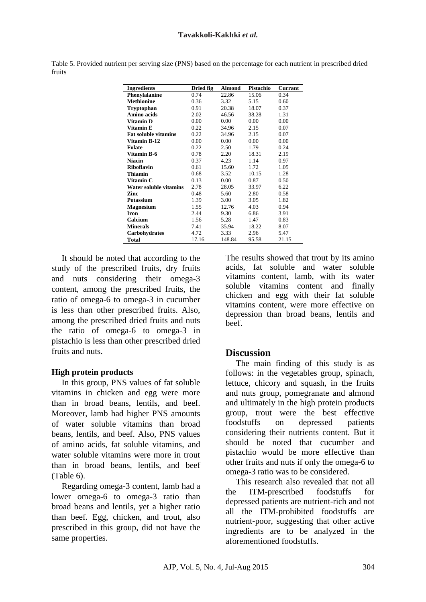|        |  |  |  | Table 5. Provided nutrient per serving size (PNS) based on the percentage for each nutrient in prescribed dried |
|--------|--|--|--|-----------------------------------------------------------------------------------------------------------------|
| fruits |  |  |  |                                                                                                                 |

| <b>Ingredients</b>          | Dried fig | <b>Almond</b> | Pistachio | <b>Currant</b> |
|-----------------------------|-----------|---------------|-----------|----------------|
| Phenylalanine               | 0.74      | 22.86         | 15.06     | 0.34           |
| <b>Methionine</b>           | 0.36      | 3.32          | 5.15      | 0.60           |
| Tryptophan                  | 0.91      | 20.38         | 18.07     | 0.37           |
| Amino acids                 | 2.02      | 46.56         | 38.28     | 1.31           |
| Vitamin D                   | 0.00      | 0.00          | 0.00      | 0.00           |
| Vitamin E                   | 0.22      | 34.96         | 2.15      | 0.07           |
| <b>Fat soluble vitamins</b> | 0.22      | 34.96         | 2.15      | 0.07           |
| <b>Vitamin B-12</b>         | 0.00      | 0.00          | 0.00      | 0.00           |
| <b>Folate</b>               | 0.22      | 2.50          | 1.79      | 0.24           |
| Vitamin B-6                 | 0.78      | 2.20          | 18.31     | 2.19           |
| <b>Niacin</b>               | 0.37      | 4.23          | 1.14      | 0.97           |
| <b>Riboflavin</b>           | 0.61      | 15.60         | 1.72      | 1.05           |
| Thiamin                     | 0.68      | 3.52          | 10.15     | 1.28           |
| Vitamin C                   | 0.13      | 0.00          | 0.87      | 0.50           |
| Water soluble vitamins      | 2.78      | 28.05         | 33.97     | 6.22           |
| Zinc                        | 0.48      | 5.60          | 2.80      | 0.58           |
| Potassium                   | 1.39      | 3.00          | 3.05      | 1.82           |
| <b>Magnesium</b>            | 1.55      | 12.76         | 4.03      | 0.94           |
| <b>Iron</b>                 | 2.44      | 9.30          | 6.86      | 3.91           |
| Calcium                     | 1.56      | 5.28          | 1.47      | 0.83           |
| <b>Minerals</b>             | 7.41      | 35.94         | 18.22     | 8.07           |
| Carbohydrates               | 4.72      | 3.33          | 2.96      | 5.47           |
| Total                       | 17.16     | 148.84        | 95.58     | 21.15          |

It should be noted that according to the study of the prescribed fruits, dry fruits and nuts considering their omega-3 content, among the prescribed fruits, the ratio of omega-6 to omega-3 in cucumber is less than other prescribed fruits. Also, among the prescribed dried fruits and nuts the ratio of omega-6 to omega-3 in pistachio is less than other prescribed dried fruits and nuts.

#### **High protein products**

In this group, PNS values of fat soluble vitamins in chicken and egg were more than in broad beans, lentils, and beef. Moreover, lamb had higher PNS amounts of water soluble vitamins than broad beans, lentils, and beef. Also, PNS values of amino acids, fat soluble vitamins, and water soluble vitamins were more in trout than in broad beans, lentils, and beef (Table 6).

Regarding omega-3 content, lamb had a lower omega-6 to omega-3 ratio than broad beans and lentils, yet a higher ratio than beef. Egg, chicken, and trout, also prescribed in this group, did not have the same properties.

The results showed that trout by its amino acids, fat soluble and water soluble vitamins content, lamb, with its water soluble vitamins content and finally chicken and egg with their fat soluble vitamins content, were more effective on depression than broad beans, lentils and beef.

### **Discussion**

The main finding of this study is as follows: in the vegetables group, spinach, lettuce, chicory and squash, in the fruits and nuts group, pomegranate and almond and ultimately in the high protein products group, trout were the best effective foodstuffs on depressed patients considering their nutrients content. But it should be noted that cucumber and pistachio would be more effective than other fruits and nuts if only the omega-6 to omega-3 ratio was to be considered.

This research also revealed that not all the ITM-prescribed foodstuffs for depressed patients are nutrient-rich and not all the ITM-prohibited foodstuffs are nutrient-poor, suggesting that other active ingredients are to be analyzed in the aforementioned foodstuffs.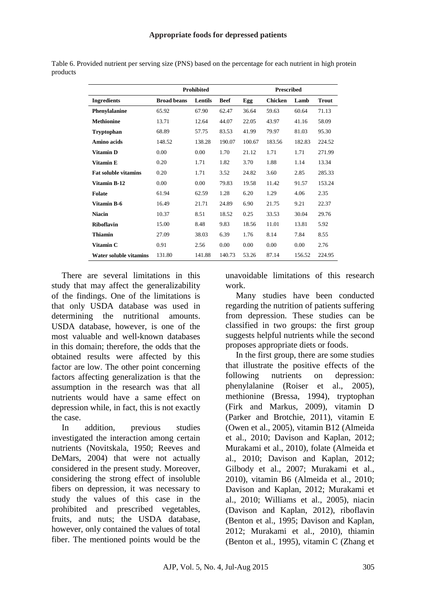|                             |                    | Prohibited |             | <b>Prescribed</b> |                |        |              |  |
|-----------------------------|--------------------|------------|-------------|-------------------|----------------|--------|--------------|--|
| <b>Ingredients</b>          | <b>Broad beans</b> | Lentils    | <b>Beef</b> | Egg               | <b>Chicken</b> | Lamb   | <b>Trout</b> |  |
| Phenylalanine               | 65.92              | 67.90      | 62.47       | 36.64             | 59.63          | 60.64  | 71.13        |  |
| <b>Methionine</b>           | 13.71              | 12.64      | 44.07       | 22.05             | 43.97          | 41.16  | 58.09        |  |
| <b>Tryptophan</b>           | 68.89              | 57.75      | 83.53       | 41.99             | 79.97          | 81.03  | 95.30        |  |
| Amino acids                 | 148.52             | 138.28     | 190.07      | 100.67            | 183.56         | 182.83 | 224.52       |  |
| <b>Vitamin D</b>            | 0.00               | 0.00       | 1.70        | 21.12             | 1.71           | 1.71   | 271.99       |  |
| Vitamin E                   | 0.20               | 1.71       | 1.82        | 3.70              | 1.88           | 1.14   | 13.34        |  |
| <b>Fat soluble vitamins</b> | 0.20               | 1.71       | 3.52        | 24.82             | 3.60           | 2.85   | 285.33       |  |
| Vitamin B-12                | 0.00               | 0.00       | 79.83       | 19.58             | 11.42          | 91.57  | 153.24       |  |
| <b>Folate</b>               | 61.94              | 62.59      | 1.28        | 6.20              | 1.29           | 4.06   | 2.35         |  |
| <b>Vitamin B-6</b>          | 16.49              | 21.71      | 24.89       | 6.90              | 21.75          | 9.21   | 22.37        |  |
| <b>Niacin</b>               | 10.37              | 8.51       | 18.52       | 0.25              | 33.53          | 30.04  | 29.76        |  |
| <b>Riboflavin</b>           | 15.00              | 8.48       | 9.83        | 18.56             | 11.01          | 13.81  | 5.92         |  |
| Thiamin                     | 27.09              | 38.03      | 6.39        | 1.76              | 8.14           | 7.84   | 8.55         |  |
| Vitamin C                   | 0.91               | 2.56       | 0.00        | 0.00              | 0.00           | 0.00   | 2.76         |  |
| Water soluble vitamins      | 131.80             | 141.88     | 140.73      | 53.26             | 87.14          | 156.52 | 224.95       |  |

Table 6. Provided nutrient per serving size (PNS) based on the percentage for each nutrient in high protein products

There are several limitations in this study that may affect the generalizability of the findings. One of the limitations is that only USDA database was used in determining the nutritional amounts. USDA database, however, is one of the most valuable and well-known databases in this domain; therefore, the odds that the obtained results were affected by this factor are low. The other point concerning factors affecting generalization is that the assumption in the research was that all nutrients would have a same effect on depression while, in fact, this is not exactly the case.

In addition, previous studies investigated the interaction among certain nutrients (Novitskala, 1950; Reeves and DeMars, 2004) that were not actually considered in the present study. Moreover, considering the strong effect of insoluble fibers on depression, it was necessary to study the values of this case in the prohibited and prescribed vegetables, fruits, and nuts; the USDA database, however, only contained the values of total fiber. The mentioned points would be the

unavoidable limitations of this research work.

Many studies have been conducted regarding the nutrition of patients suffering from depression. These studies can be classified in two groups: the first group suggests helpful nutrients while the second proposes appropriate diets or foods.

In the first group, there are some studies that illustrate the positive effects of the following nutrients on depression: phenylalanine (Roiser et al., 2005), methionine (Bressa, 1994), tryptophan (Firk and Markus, 2009), vitamin D (Parker and Brotchie, 2011), vitamin E (Owen et al., 2005), vitamin B12 (Almeida et al., 2010; Davison and Kaplan, 2012; Murakami et al., 2010), folate (Almeida et al., 2010; Davison and Kaplan, 2012; Gilbody et al., 2007; Murakami et al., 2010), vitamin B6 (Almeida et al., 2010; Davison and Kaplan, 2012; Murakami et al., 2010; Williams et al., 2005), niacin (Davison and Kaplan, 2012), riboflavin (Benton et al., 1995; Davison and Kaplan, 2012; Murakami et al., 2010), thiamin (Benton et al., 1995), vitamin C (Zhang et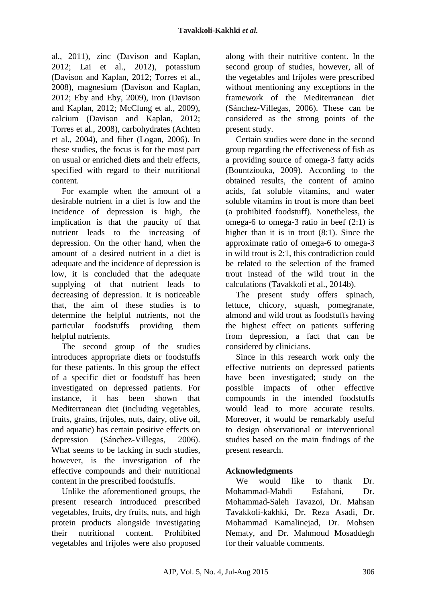al., 2011), zinc (Davison and Kaplan, 2012; Lai et al., 2012), potassium (Davison and Kaplan, 2012; Torres et al., 2008), magnesium (Davison and Kaplan, 2012; Eby and Eby, 2009), iron (Davison and Kaplan, 2012; McClung et al., 2009), calcium (Davison and Kaplan, 2012; Torres et al., 2008), carbohydrates (Achten et al., 2004), and fiber (Logan, 2006). In these studies, the focus is for the most part on usual or enriched diets and their effects, specified with regard to their nutritional content.

For example when the amount of a desirable nutrient in a diet is low and the incidence of depression is high, the implication is that the paucity of that nutrient leads to the increasing of depression. On the other hand, when the amount of a desired nutrient in a diet is adequate and the incidence of depression is low, it is concluded that the adequate supplying of that nutrient leads to decreasing of depression. It is noticeable that, the aim of these studies is to determine the helpful nutrients, not the particular foodstuffs providing them helpful nutrients.

The second group of the studies introduces appropriate diets or foodstuffs for these patients. In this group the effect of a specific diet or foodstuff has been investigated on depressed patients. For instance, it has been shown that Mediterranean diet (including vegetables, fruits, grains, frijoles, nuts, dairy, olive oil, and aquatic) has certain positive effects on depression (Sánchez-Villegas, 2006). What seems to be lacking in such studies, however, is the investigation of the effective compounds and their nutritional content in the prescribed foodstuffs.

Unlike the aforementioned groups, the present research introduced prescribed vegetables, fruits, dry fruits, nuts, and high protein products alongside investigating their nutritional content. Prohibited vegetables and frijoles were also proposed along with their nutritive content. In the second group of studies, however, all of the vegetables and frijoles were prescribed without mentioning any exceptions in the framework of the Mediterranean diet (Sánchez-Villegas, 2006). These can be considered as the strong points of the present study.

Certain studies were done in the second group regarding the effectiveness of fish as a providing source of omega-3 fatty acids (Bountziouka, 2009). According to the obtained results, the content of amino acids, fat soluble vitamins, and water soluble vitamins in trout is more than beef (a prohibited foodstuff). Nonetheless, the omega-6 to omega-3 ratio in beef (2:1) is higher than it is in trout (8:1). Since the approximate ratio of omega-6 to omega-3 in wild trout is 2:1, this contradiction could be related to the selection of the framed trout instead of the wild trout in the calculations (Tavakkoli et al., 2014b).

The present study offers spinach, lettuce, chicory, squash, pomegranate, almond and wild trout as foodstuffs having the highest effect on patients suffering from depression, a fact that can be considered by clinicians.

Since in this research work only the effective nutrients on depressed patients have been investigated; study on the possible impacts of other effective compounds in the intended foodstuffs would lead to more accurate results. Moreover, it would be remarkably useful to design observational or interventional studies based on the main findings of the present research.

## **Acknowledgments**

We would like to thank Dr. Mohammad-Mahdi Esfahani Dr. Mohammad-Saleh Tavazoi, Dr. Mahsan Tavakkoli-kakhki, Dr. Reza Asadi, Dr. Mohammad Kamalinejad, Dr. Mohsen Nematy, and Dr. Mahmoud Mosaddegh for their valuable comments.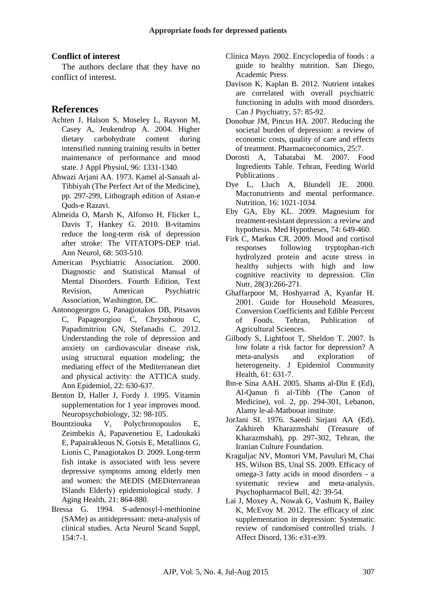#### **Conflict of interest**

The authors declare that they have no conflict of interest.

### **References**

- Achten J, Halson S, Moseley L, Rayson M, Casey A, Jeukendrup A. 2004. Higher dietary carbohydrate content during intensified running training results in better maintenance of performance and mood state. J Appl Physiol, 96: 1331-1340.
- Ahwazi Arjani AA. 1973. Kamel al-Sanaah al-Tibbiyah (The Perfect Art of the Medicine), pp. 297-299, Lithograph edition of Astan-e Quds-e Razavi.
- Almeida O, Marsh K, Alfonso H, Flicker L, Davis T, Hankey G. 2010. B-vitamins reduce the long-term risk of depression after stroke: The VITATOPS-DEP trial. Ann Neurol, 68: 503-510.
- American Psychiatric Association. 2000. Diagnostic and Statistical Manual of Mental Disorders. Fourth Edition, Text Revision, American Psychiatric Association, Washington, DC.
- Antonogeorgos G, Panagiotakos DB, Pitsavos C, Papageorgiou C, Chrysohoou C, Papadimitriou GN, Stefanadis C. 2012. Understanding the role of depression and anxiety on cardiovascular disease risk, using structural equation modeling; the mediating effect of the Mediterranean diet and physical activity: the ATTICA study. Ann Epidemiol, 22: 630-637.
- Benton D, Haller J, Fordy J. 1995. Vitamin supplementation for 1 year improves mood. Neuropsychobiology, 32: 98-105.
- Bountziouka V, Polychronopoulos E, Zeimbekis A, Papavenetiou E, Ladoukaki E, Papairakleous N, Gotsis E, Metallinos G, Lionis C, Panagiotakos D. 2009. Long-term fish intake is associated with less severe depressive symptoms among elderly men and women: the MEDIS (MEDiterranean ISlands Elderly) epidemiological study. J Aging Health, 21: 864-880.
- Bressa G. 1994. S-adenosyl-l-methionine (SAMe) as antidepressant: meta-analysis of clinical studies. Acta Neurol Scand Suppl, 154:7-1.
- Clínica Mayo. 2002. Encyclopedia of foods : a guide to healthy nutrition. San Diego, Academic Press.
- Davison K, Kaplan B. 2012. Nutrient intakes are correlated with overall psychiatric functioning in adults with mood disorders. Can J Psychiatry, 57: 85-92.
- Donohue JM, Pincus HA. 2007. Reducing the societal burden of depression: a review of economic costs, quality of care and effects of treatment. Pharmacoeconomics, 25:7.
- Dorosti A, Tabatabai M. 2007. Food Ingredients Table. Tehran, Feeding World Publications .
- Dye L, Lluch A, Blundell JE. 2000. Macronutrients and mental performance. Nutrition, 16: 1021-1034.
- Eby GA, Eby KL. 2009. Magnesium for treatment-resistant depression: a review and hypothesis. Med Hypotheses, 74: 649-460.
- Firk C, Markus CR. 2009. Mood and cortisol responses following tryptophan-rich hydrolyzed protein and acute stress in healthy subjects with high and low cognitive reactivity to depression. Clin Nutr, 28(3):266-271.
- Ghaffarpoor M, Hoshyarrad A, Kyanfar H. 2001. Guide for Household Measures, Conversion Coefficients and Edible Percent of Foods. Tehran, Publication of Agricultural Sciences.
- Gilbody S, Lightfoot T, Sheldon T. 2007. Is low folate a risk factor for depression? A meta-analysis and exploration of heterogeneity. J Epidemiol Community Health, 61: 631-7.
- Ibn-e Sina AAH. 2005. Shams al-Din E (Ed), Al-Qanun fi al-Tibb (The Canon of Medicine), vol. 2, pp. 294-301, Lebanon, Alamy le-al-Matbooat institute.
- JorJani SI. 1976. Saeedi Sirjani AA (Ed), Zakhireh Kharazmshahi (Treasure of Kharazmshah), pp. 297-302, Tehran, the Iranian Culture Foundation.
- Kraguljac NV, Montori VM, Pavuluri M, Chai HS, Wilson BS, Unal SS. 2009. Efficacy of omega-3 fatty acids in mood disorders - a systematic review and meta-analysis. Psychopharmacol Bull, 42: 39-54.
- Lai J, Moxey A, Nowak G, Vashum K, Bailey K, McEvoy M. 2012. The efficacy of zinc supplementation in depression: Systematic review of randomised controlled trials. J Affect Disord, 136: e31-e39.